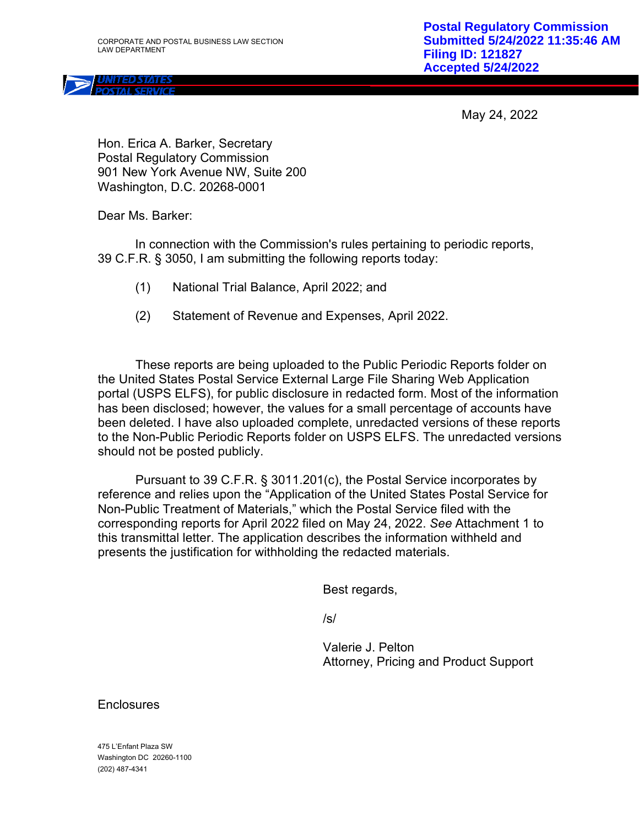May 24, 2022

Hon. Erica A. Barker, Secretary Postal Regulatory Commission 901 New York Avenue NW, Suite 200 Washington, D.C. 20268-0001

Dear Ms. Barker:

In connection with the Commission's rules pertaining to periodic reports, 39 C.F.R. § 3050, I am submitting the following reports today:

- (1) National Trial Balance, April 2022; and
- (2) Statement of Revenue and Expenses, April 2022.

These reports are being uploaded to the Public Periodic Reports folder on the United States Postal Service External Large File Sharing Web Application portal (USPS ELFS), for public disclosure in redacted form. Most of the information has been disclosed; however, the values for a small percentage of accounts have been deleted. I have also uploaded complete, unredacted versions of these reports to the Non-Public Periodic Reports folder on USPS ELFS. The unredacted versions should not be posted publicly.

Pursuant to 39 C.F.R. § 3011.201(c), the Postal Service incorporates by reference and relies upon the "Application of the United States Postal Service for Non-Public Treatment of Materials," which the Postal Service filed with the corresponding reports for April 2022 filed on May 24, 2022. *See* Attachment 1 to this transmittal letter. The application describes the information withheld and presents the justification for withholding the redacted materials.

Best regards,

/s/

Valerie J. Pelton Attorney, Pricing and Product Support

**Enclosures** 

475 L'Enfant Plaza SW Washington DC 20260-1100 (202) 487-4341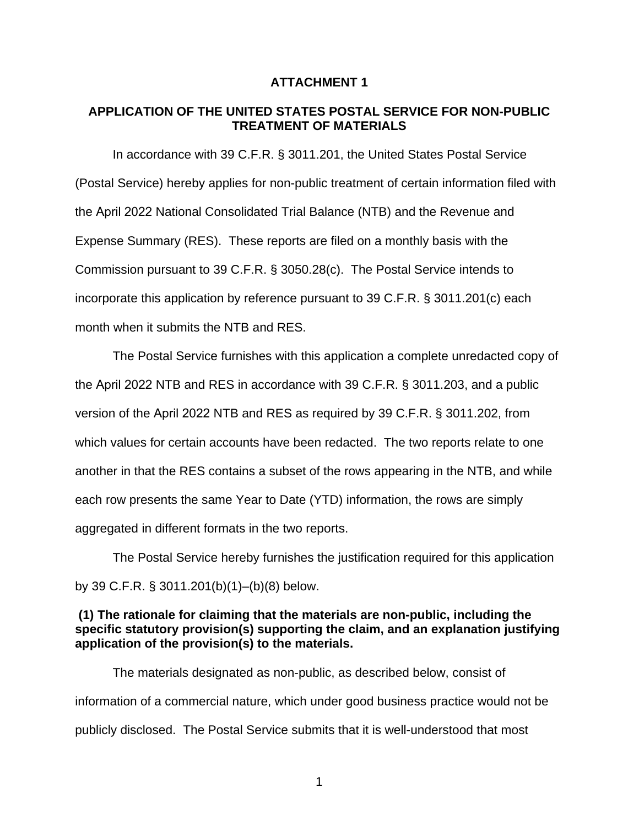### **ATTACHMENT 1**

### **APPLICATION OF THE UNITED STATES POSTAL SERVICE FOR NON-PUBLIC TREATMENT OF MATERIALS**

In accordance with 39 C.F.R. § 3011.201, the United States Postal Service (Postal Service) hereby applies for non-public treatment of certain information filed with the April 2022 National Consolidated Trial Balance (NTB) and the Revenue and Expense Summary (RES). These reports are filed on a monthly basis with the Commission pursuant to 39 C.F.R. § 3050.28(c). The Postal Service intends to incorporate this application by reference pursuant to 39 C.F.R. § 3011.201(c) each month when it submits the NTB and RES.

The Postal Service furnishes with this application a complete unredacted copy of the April 2022 NTB and RES in accordance with 39 C.F.R. § 3011.203, and a public version of the April 2022 NTB and RES as required by 39 C.F.R. § 3011.202, from which values for certain accounts have been redacted. The two reports relate to one another in that the RES contains a subset of the rows appearing in the NTB, and while each row presents the same Year to Date (YTD) information, the rows are simply aggregated in different formats in the two reports.

The Postal Service hereby furnishes the justification required for this application by 39 C.F.R. § 3011.201(b)(1)–(b)(8) below.

# **(1) The rationale for claiming that the materials are non-public, including the specific statutory provision(s) supporting the claim, and an explanation justifying application of the provision(s) to the materials.**

The materials designated as non-public, as described below, consist of information of a commercial nature, which under good business practice would not be publicly disclosed. The Postal Service submits that it is well-understood that most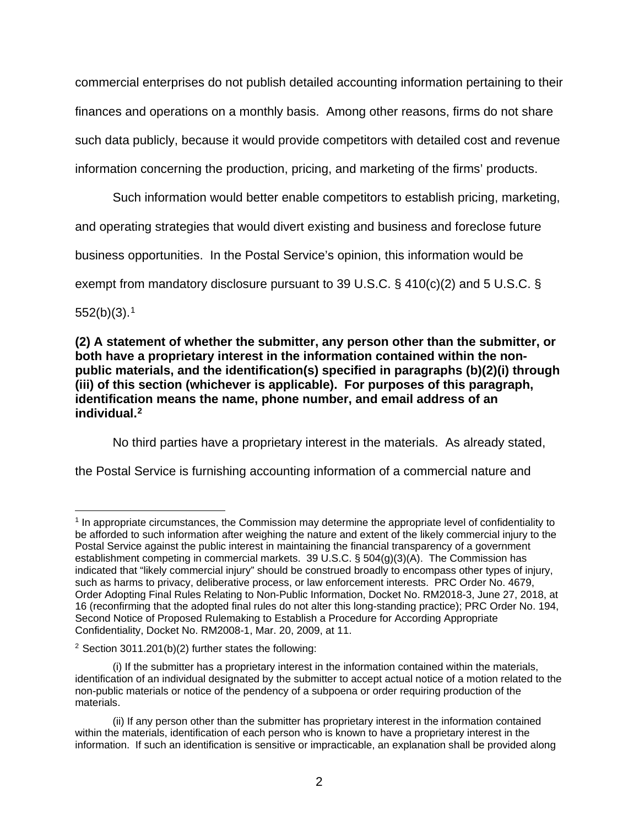commercial enterprises do not publish detailed accounting information pertaining to their finances and operations on a monthly basis. Among other reasons, firms do not share such data publicly, because it would provide competitors with detailed cost and revenue information concerning the production, pricing, and marketing of the firms' products.

Such information would better enable competitors to establish pricing, marketing, and operating strategies that would divert existing and business and foreclose future business opportunities. In the Postal Service's opinion, this information would be

exempt from mandatory disclosure pursuant to 39 U.S.C. § 410(c)(2) and 5 U.S.C. §

552(b)(3). 1

# **(2) A statement of whether the submitter, any person other than the submitter, or both have a proprietary interest in the information contained within the nonpublic materials, and the identification(s) specified in paragraphs (b)(2)(i) through (iii) of this section (whichever is applicable). For purposes of this paragraph, identification means the name, phone number, and email address of an individual.2**

No third parties have a proprietary interest in the materials. As already stated,

the Postal Service is furnishing accounting information of a commercial nature and

<sup>1</sup> In appropriate circumstances, the Commission may determine the appropriate level of confidentiality to be afforded to such information after weighing the nature and extent of the likely commercial injury to the Postal Service against the public interest in maintaining the financial transparency of a government establishment competing in commercial markets. 39 U.S.C. § 504(g)(3)(A). The Commission has indicated that "likely commercial injury" should be construed broadly to encompass other types of injury, such as harms to privacy, deliberative process, or law enforcement interests. PRC Order No. 4679, Order Adopting Final Rules Relating to Non-Public Information, Docket No. RM2018-3, June 27, 2018, at 16 (reconfirming that the adopted final rules do not alter this long-standing practice); PRC Order No. 194, Second Notice of Proposed Rulemaking to Establish a Procedure for According Appropriate Confidentiality, Docket No. RM2008-1, Mar. 20, 2009, at 11.

<sup>2</sup> Section 3011.201(b)(2) further states the following:

<sup>(</sup>i) If the submitter has a proprietary interest in the information contained within the materials, identification of an individual designated by the submitter to accept actual notice of a motion related to the non-public materials or notice of the pendency of a subpoena or order requiring production of the materials.

<sup>(</sup>ii) If any person other than the submitter has proprietary interest in the information contained within the materials, identification of each person who is known to have a proprietary interest in the information. If such an identification is sensitive or impracticable, an explanation shall be provided along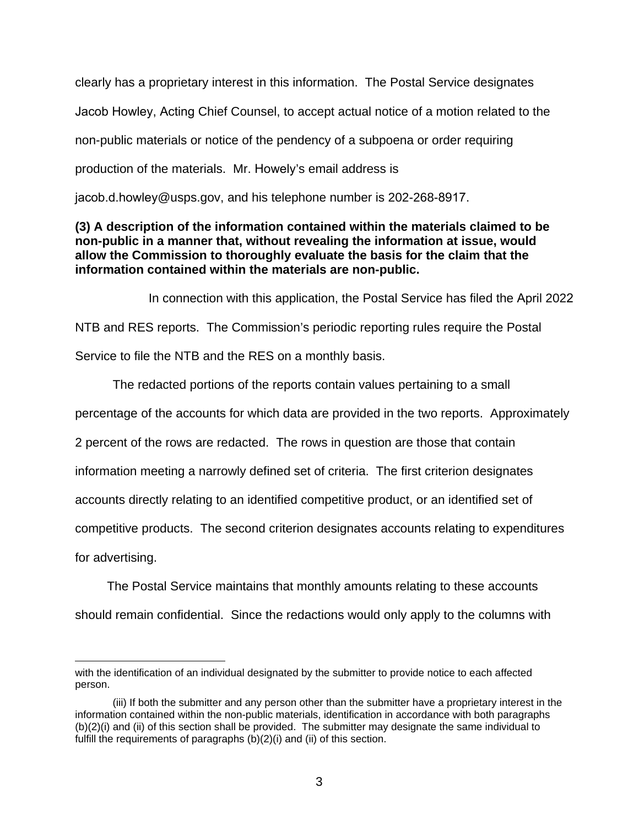clearly has a proprietary interest in this information. The Postal Service designates Jacob Howley, Acting Chief Counsel, to accept actual notice of a motion related to the non-public materials or notice of the pendency of a subpoena or order requiring production of the materials. Mr. Howely's email address is

jacob.d.howley@usps.gov, and his telephone number is 202-268-8917.

# **(3) A description of the information contained within the materials claimed to be non-public in a manner that, without revealing the information at issue, would allow the Commission to thoroughly evaluate the basis for the claim that the information contained within the materials are non-public.**

In connection with this application, the Postal Service has filed the April 2022 NTB and RES reports. The Commission's periodic reporting rules require the Postal Service to file the NTB and the RES on a monthly basis.

The redacted portions of the reports contain values pertaining to a small percentage of the accounts for which data are provided in the two reports. Approximately 2 percent of the rows are redacted. The rows in question are those that contain information meeting a narrowly defined set of criteria. The first criterion designates accounts directly relating to an identified competitive product, or an identified set of competitive products. The second criterion designates accounts relating to expenditures

for advertising.

The Postal Service maintains that monthly amounts relating to these accounts

should remain confidential. Since the redactions would only apply to the columns with

with the identification of an individual designated by the submitter to provide notice to each affected person.

<sup>(</sup>iii) If both the submitter and any person other than the submitter have a proprietary interest in the information contained within the non-public materials, identification in accordance with both paragraphs (b)(2)(i) and (ii) of this section shall be provided. The submitter may designate the same individual to fulfill the requirements of paragraphs (b)(2)(i) and (ii) of this section.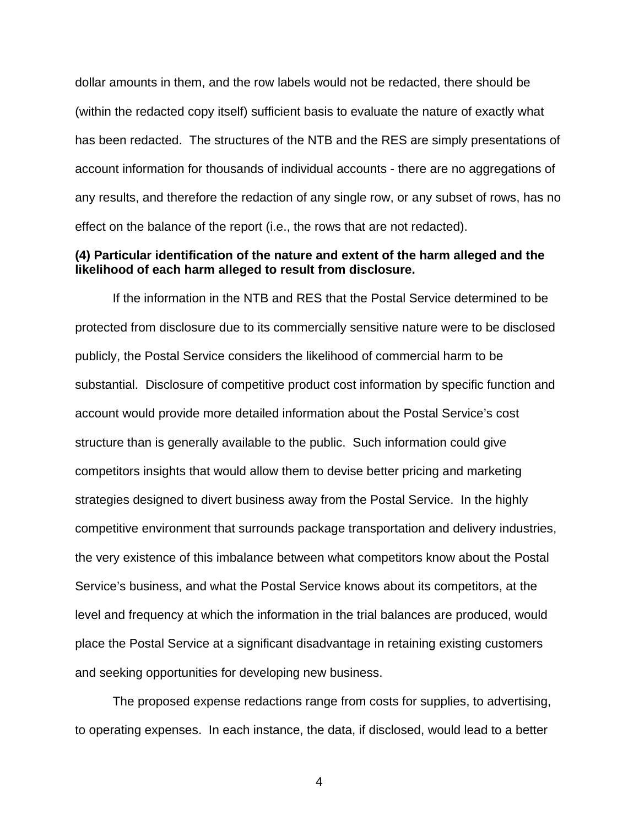dollar amounts in them, and the row labels would not be redacted, there should be (within the redacted copy itself) sufficient basis to evaluate the nature of exactly what has been redacted. The structures of the NTB and the RES are simply presentations of account information for thousands of individual accounts - there are no aggregations of any results, and therefore the redaction of any single row, or any subset of rows, has no effect on the balance of the report (i.e., the rows that are not redacted).

### **(4) Particular identification of the nature and extent of the harm alleged and the likelihood of each harm alleged to result from disclosure.**

If the information in the NTB and RES that the Postal Service determined to be protected from disclosure due to its commercially sensitive nature were to be disclosed publicly, the Postal Service considers the likelihood of commercial harm to be substantial. Disclosure of competitive product cost information by specific function and account would provide more detailed information about the Postal Service's cost structure than is generally available to the public. Such information could give competitors insights that would allow them to devise better pricing and marketing strategies designed to divert business away from the Postal Service. In the highly competitive environment that surrounds package transportation and delivery industries, the very existence of this imbalance between what competitors know about the Postal Service's business, and what the Postal Service knows about its competitors, at the level and frequency at which the information in the trial balances are produced, would place the Postal Service at a significant disadvantage in retaining existing customers and seeking opportunities for developing new business.

The proposed expense redactions range from costs for supplies, to advertising, to operating expenses. In each instance, the data, if disclosed, would lead to a better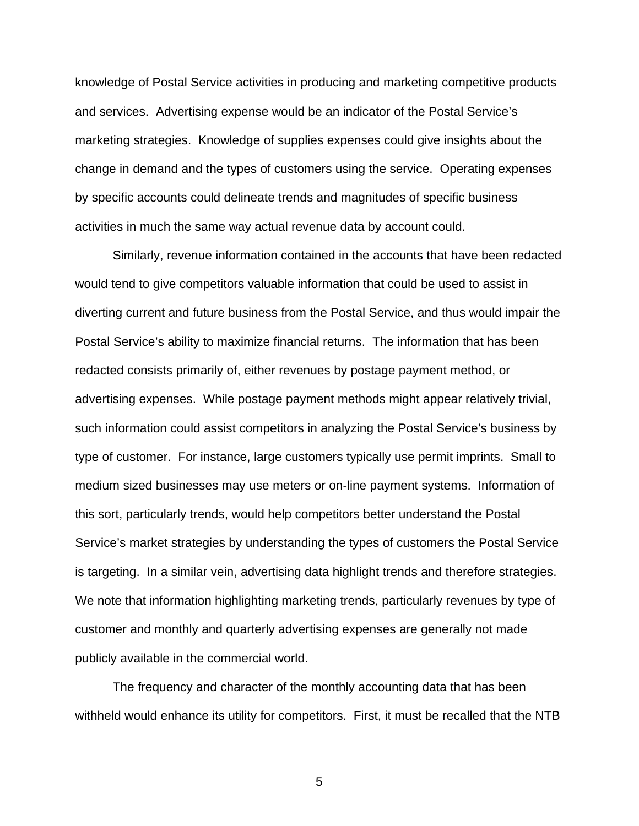knowledge of Postal Service activities in producing and marketing competitive products and services. Advertising expense would be an indicator of the Postal Service's marketing strategies. Knowledge of supplies expenses could give insights about the change in demand and the types of customers using the service. Operating expenses by specific accounts could delineate trends and magnitudes of specific business activities in much the same way actual revenue data by account could.

Similarly, revenue information contained in the accounts that have been redacted would tend to give competitors valuable information that could be used to assist in diverting current and future business from the Postal Service, and thus would impair the Postal Service's ability to maximize financial returns. The information that has been redacted consists primarily of, either revenues by postage payment method, or advertising expenses. While postage payment methods might appear relatively trivial, such information could assist competitors in analyzing the Postal Service's business by type of customer. For instance, large customers typically use permit imprints. Small to medium sized businesses may use meters or on-line payment systems. Information of this sort, particularly trends, would help competitors better understand the Postal Service's market strategies by understanding the types of customers the Postal Service is targeting. In a similar vein, advertising data highlight trends and therefore strategies. We note that information highlighting marketing trends, particularly revenues by type of customer and monthly and quarterly advertising expenses are generally not made publicly available in the commercial world.

The frequency and character of the monthly accounting data that has been withheld would enhance its utility for competitors. First, it must be recalled that the NTB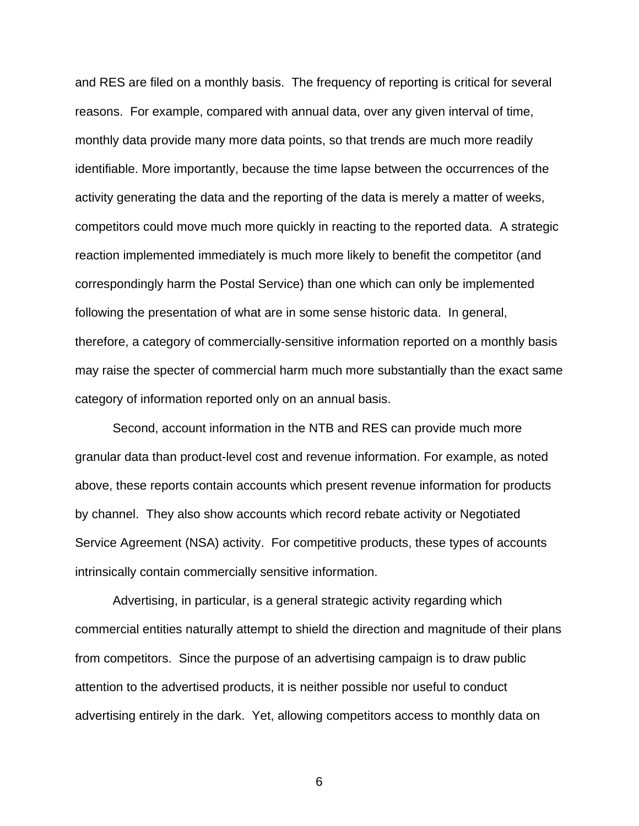and RES are filed on a monthly basis. The frequency of reporting is critical for several reasons. For example, compared with annual data, over any given interval of time, monthly data provide many more data points, so that trends are much more readily identifiable. More importantly, because the time lapse between the occurrences of the activity generating the data and the reporting of the data is merely a matter of weeks, competitors could move much more quickly in reacting to the reported data. A strategic reaction implemented immediately is much more likely to benefit the competitor (and correspondingly harm the Postal Service) than one which can only be implemented following the presentation of what are in some sense historic data. In general, therefore, a category of commercially-sensitive information reported on a monthly basis may raise the specter of commercial harm much more substantially than the exact same category of information reported only on an annual basis.

Second, account information in the NTB and RES can provide much more granular data than product-level cost and revenue information. For example, as noted above, these reports contain accounts which present revenue information for products by channel. They also show accounts which record rebate activity or Negotiated Service Agreement (NSA) activity. For competitive products, these types of accounts intrinsically contain commercially sensitive information.

Advertising, in particular, is a general strategic activity regarding which commercial entities naturally attempt to shield the direction and magnitude of their plans from competitors. Since the purpose of an advertising campaign is to draw public attention to the advertised products, it is neither possible nor useful to conduct advertising entirely in the dark. Yet, allowing competitors access to monthly data on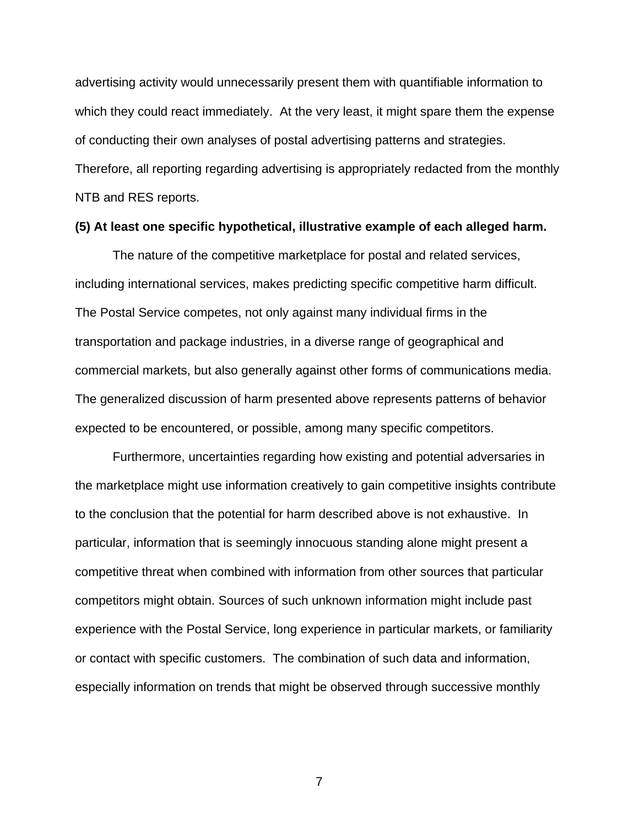advertising activity would unnecessarily present them with quantifiable information to which they could react immediately. At the very least, it might spare them the expense of conducting their own analyses of postal advertising patterns and strategies. Therefore, all reporting regarding advertising is appropriately redacted from the monthly NTB and RES reports.

#### **(5) At least one specific hypothetical, illustrative example of each alleged harm.**

The nature of the competitive marketplace for postal and related services, including international services, makes predicting specific competitive harm difficult. The Postal Service competes, not only against many individual firms in the transportation and package industries, in a diverse range of geographical and commercial markets, but also generally against other forms of communications media. The generalized discussion of harm presented above represents patterns of behavior expected to be encountered, or possible, among many specific competitors.

Furthermore, uncertainties regarding how existing and potential adversaries in the marketplace might use information creatively to gain competitive insights contribute to the conclusion that the potential for harm described above is not exhaustive. In particular, information that is seemingly innocuous standing alone might present a competitive threat when combined with information from other sources that particular competitors might obtain. Sources of such unknown information might include past experience with the Postal Service, long experience in particular markets, or familiarity or contact with specific customers. The combination of such data and information, especially information on trends that might be observed through successive monthly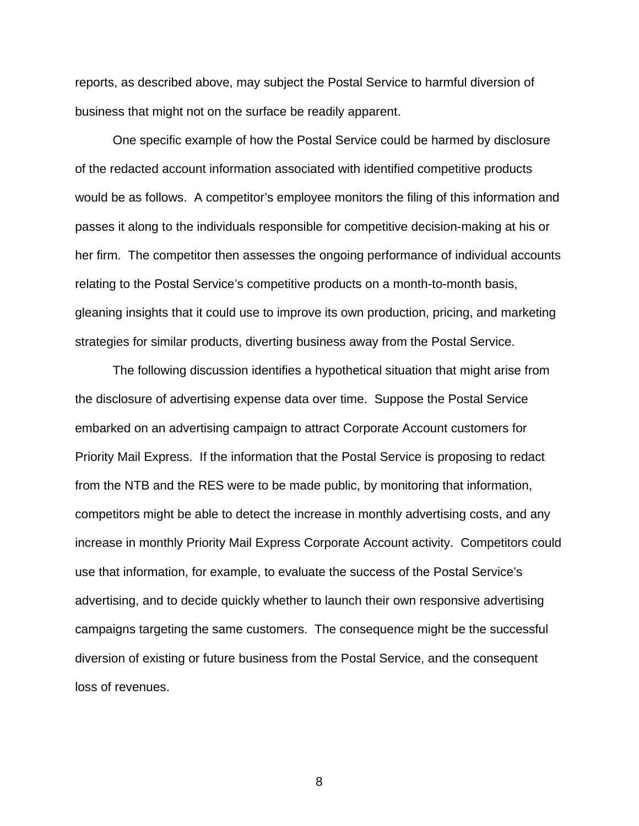reports, as described above, may subject the Postal Service to harmful diversion of business that might not on the surface be readily apparent.

One specific example of how the Postal Service could be harmed by disclosure of the redacted account information associated with identified competitive products would be as follows. A competitor's employee monitors the filing of this information and passes it along to the individuals responsible for competitive decision-making at his or her firm. The competitor then assesses the ongoing performance of individual accounts relating to the Postal Service's competitive products on a month-to-month basis, gleaning insights that it could use to improve its own production, pricing, and marketing strategies for similar products, diverting business away from the Postal Service.

The following discussion identifies a hypothetical situation that might arise from the disclosure of advertising expense data over time. Suppose the Postal Service embarked on an advertising campaign to attract Corporate Account customers for Priority Mail Express. If the information that the Postal Service is proposing to redact from the NTB and the RES were to be made public, by monitoring that information, competitors might be able to detect the increase in monthly advertising costs, and any increase in monthly Priority Mail Express Corporate Account activity. Competitors could use that information, for example, to evaluate the success of the Postal Service's advertising, and to decide quickly whether to launch their own responsive advertising campaigns targeting the same customers. The consequence might be the successful diversion of existing or future business from the Postal Service, and the consequent loss of revenues.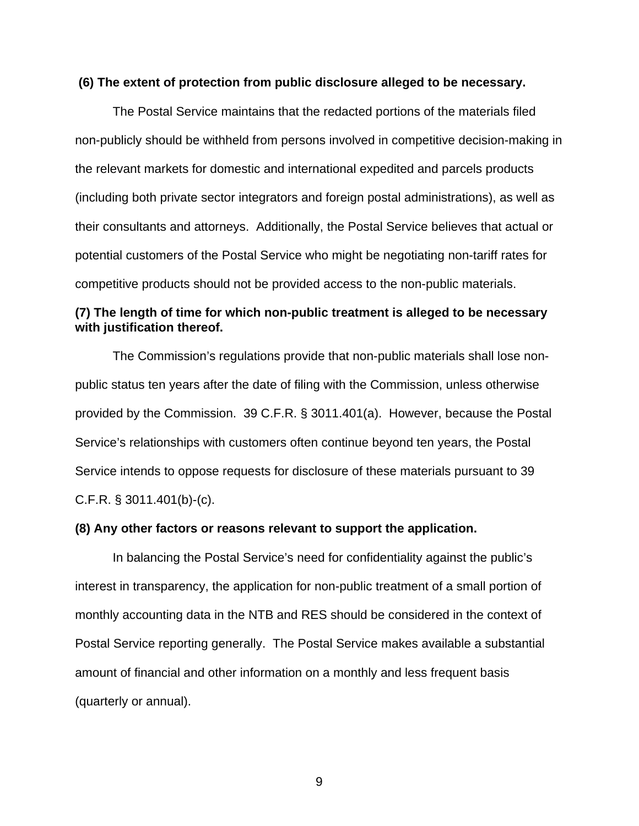#### **(6) The extent of protection from public disclosure alleged to be necessary.**

The Postal Service maintains that the redacted portions of the materials filed non-publicly should be withheld from persons involved in competitive decision-making in the relevant markets for domestic and international expedited and parcels products (including both private sector integrators and foreign postal administrations), as well as their consultants and attorneys. Additionally, the Postal Service believes that actual or potential customers of the Postal Service who might be negotiating non-tariff rates for competitive products should not be provided access to the non-public materials.

# **(7) The length of time for which non-public treatment is alleged to be necessary with justification thereof.**

The Commission's regulations provide that non-public materials shall lose nonpublic status ten years after the date of filing with the Commission, unless otherwise provided by the Commission. 39 C.F.R. § 3011.401(a). However, because the Postal Service's relationships with customers often continue beyond ten years, the Postal Service intends to oppose requests for disclosure of these materials pursuant to 39 C.F.R. § 3011.401(b)-(c).

#### **(8) Any other factors or reasons relevant to support the application.**

In balancing the Postal Service's need for confidentiality against the public's interest in transparency, the application for non-public treatment of a small portion of monthly accounting data in the NTB and RES should be considered in the context of Postal Service reporting generally. The Postal Service makes available a substantial amount of financial and other information on a monthly and less frequent basis (quarterly or annual).